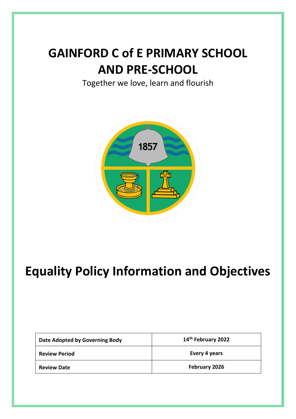# **GAINFORD C of E PRIMARY SCHOOL AND PRE-SCHOOL**

Together we love, learn and flourish



# **Equality Policy Information and Objectives**

| Date Adopted by Governing Body | 14 <sup>th</sup> February 2022 |
|--------------------------------|--------------------------------|
| <b>Review Period</b>           | Every 4 years                  |
| <b>Review Date</b>             | February 2026                  |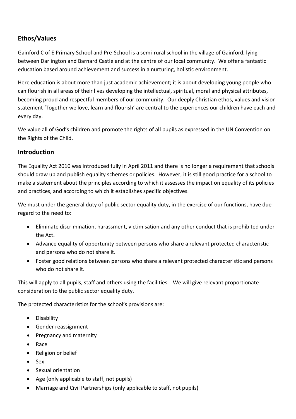# **Ethos/Values**

Gainford C of E Primary School and Pre-School is a semi-rural school in the village of Gainford, lying between Darlington and Barnard Castle and at the centre of our local community. We offer a fantastic education based around achievement and success in a nurturing, holistic environment.

Here education is about more than just academic achievement; it is about developing young people who can flourish in all areas of their lives developing the intellectual, spiritual, moral and physical attributes, becoming proud and respectful members of our community. Our deeply Christian ethos, values and vision statement 'Together we love, learn and flourish' are central to the experiences our children have each and every day.

We value all of God's children and promote the rights of all pupils as expressed in the UN Convention on the Rights of the Child.

# **Introduction**

The Equality Act 2010 was introduced fully in April 2011 and there is no longer a requirement that schools should draw up and publish equality schemes or policies. However, it is still good practice for a school to make a statement about the principles according to which it assesses the impact on equality of its policies and practices, and according to which it establishes specific objectives.

We must under the general duty of public sector equality duty, in the exercise of our functions, have due regard to the need to:

- Eliminate discrimination, harassment, victimisation and any other conduct that is prohibited under the Act.
- Advance equality of opportunity between persons who share a relevant protected characteristic and persons who do not share it.
- Foster good relations between persons who share a relevant protected characteristic and persons who do not share it.

This will apply to all pupils, staff and others using the facilities. We will give relevant proportionate consideration to the public sector equality duty.

The protected characteristics for the school's provisions are:

- Disability
- Gender reassignment
- Pregnancy and maternity
- Race
- Religion or belief
- Sex
- Sexual orientation
- Age (only applicable to staff, not pupils)
- Marriage and Civil Partnerships (only applicable to staff, not pupils)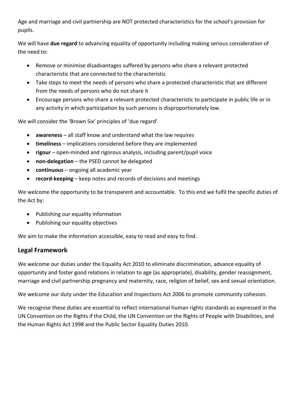Age and marriage and civil partnership are NOT protected characteristics for the school's provision for pupils.

We will have **due regard** to advancing equality of opportunity including making serious consideration of the need to:

- Remove or minimise disadvantages suffered by persons who share a relevant protected characteristic that are connected to the characteristic
- Take steps to meet the needs of persons who share a protected characteristic that are different from the needs of persons who do not share it
- Encourage persons who share a relevant protected characteristic to participate in public life or in any activity in which participation by such persons is disproportionately low.

We will consider the 'Brown Six' principles of 'due regard'

- **awareness** all staff know and understand what the law requires
- **timeliness** implications considered before they are implemented
- **rigour** open-minded and rigorous analysis, including parent/pupil voice
- **non-delegation** the PSED cannot be delegated
- **continuous** ongoing all academic year
- **record-keeping** keep notes and records of decisions and meetings

We welcome the opportunity to be transparent and accountable. To this end we fulfil the specific duties of the Act by:

- Publishing our equality information
- Publishing our equality objectives

We aim to make the information accessible, easy to read and easy to find.

# **Legal Framework**

We welcome our duties under the Equality Act 2010 to eliminate discrimination, advance equality of opportunity and foster good relations in relation to age (as appropriate), disability, gender reassignment, marriage and civil partnership pregnancy and maternity, race, religion of belief, sex and sexual orientation.

We welcome our duty under the Education and Inspections Act 2006 to promote community cohesion.

We recognise these duties are essential to reflect international human rights standards as expressed in the UN Convention on the Rights if the Child, the UN Convention on the Rights of People with Disabilities, and the Human Rights Act 1998 and the Public Sector Equality Duties 2010.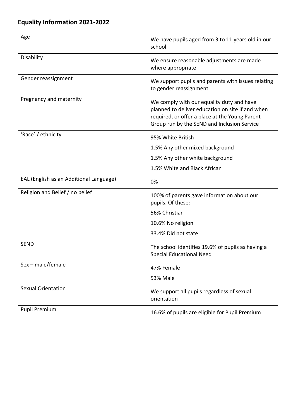| Age                                     | We have pupils aged from 3 to 11 years old in our<br>school                                                                                                                                    |
|-----------------------------------------|------------------------------------------------------------------------------------------------------------------------------------------------------------------------------------------------|
| Disability                              | We ensure reasonable adjustments are made<br>where appropriate                                                                                                                                 |
| Gender reassignment                     | We support pupils and parents with issues relating<br>to gender reassignment                                                                                                                   |
| Pregnancy and maternity                 | We comply with our equality duty and have<br>planned to deliver education on site if and when<br>required, or offer a place at the Young Parent<br>Group run by the SEND and Inclusion Service |
| 'Race' / ethnicity                      | 95% White British                                                                                                                                                                              |
|                                         | 1.5% Any other mixed background                                                                                                                                                                |
|                                         | 1.5% Any other white background                                                                                                                                                                |
|                                         | 1.5% White and Black African                                                                                                                                                                   |
| EAL (English as an Additional Language) | 0%                                                                                                                                                                                             |
| Religion and Belief / no belief         | 100% of parents gave information about our<br>pupils. Of these:                                                                                                                                |
|                                         | 56% Christian                                                                                                                                                                                  |
|                                         | 10.6% No religion                                                                                                                                                                              |
|                                         | 33.4% Did not state                                                                                                                                                                            |
| <b>SEND</b>                             | The school identifies 19.6% of pupils as having a<br><b>Special Educational Need</b>                                                                                                           |
| Sex - male/female                       | 47% Female                                                                                                                                                                                     |
|                                         | <b>53% Male</b>                                                                                                                                                                                |
| <b>Sexual Orientation</b>               | We support all pupils regardless of sexual<br>orientation                                                                                                                                      |
| <b>Pupil Premium</b>                    | 16.6% of pupils are eligible for Pupil Premium                                                                                                                                                 |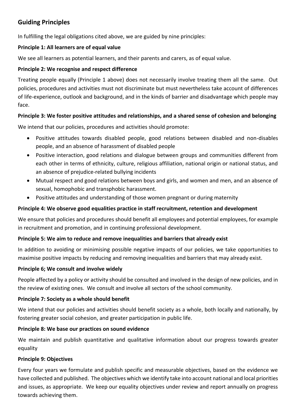# **Guiding Principles**

In fulfilling the legal obligations cited above, we are guided by nine principles:

#### **Principle 1: All learners are of equal value**

We see all learners as potential learners, and their parents and carers, as of equal value.

#### **Principle 2: We recognise and respect difference**

Treating people equally (Principle 1 above) does not necessarily involve treating them all the same. Out policies, procedures and activities must not discriminate but must nevertheless take account of differences of life-experience, outlook and background, and in the kinds of barrier and disadvantage which people may face.

#### **Principle 3: We foster positive attitudes and relationships, and a shared sense of cohesion and belonging**

We intend that our policies, procedures and activities should promote:

- Positive attitudes towards disabled people, good relations between disabled and non-disables people, and an absence of harassment of disabled people
- Positive interaction, good relations and dialogue between groups and communities different from each other in terms of ethnicity, culture, religious affiliation, national origin or national status, and an absence of prejudice-related bullying incidents
- Mutual respect and good relations between boys and girls, and women and men, and an absence of sexual, homophobic and transphobic harassment.
- Positive attitudes and understanding of those women pregnant or during maternity

### **Principle 4: We observe good equalities practice in staff recruitment, retention and development**

We ensure that policies and procedures should benefit all employees and potential employees, for example in recruitment and promotion, and in continuing professional development.

#### **Principle 5: We aim to reduce and remove inequalities and barriers that already exist**

In addition to avoiding or minimising possible negative impacts of our policies, we take opportunities to maximise positive impacts by reducing and removing inequalities and barriers that may already exist.

#### **Principle 6; We consult and involve widely**

People affected by a policy or activity should be consulted and involved in the design of new policies, and in the review of existing ones. We consult and involve all sectors of the school community.

#### **Principle 7: Society as a whole should benefit**

We intend that our policies and activities should benefit society as a whole, both locally and nationally, by fostering greater social cohesion, and greater participation in public life.

#### **Principle 8: We base our practices on sound evidence**

We maintain and publish quantitative and qualitative information about our progress towards greater equality

#### **Principle 9: Objectives**

Every four years we formulate and publish specific and measurable objectives, based on the evidence we have collected and published. The objectives which we identify take into account national and local priorities and issues, as appropriate. We keep our equality objectives under review and report annually on progress towards achieving them.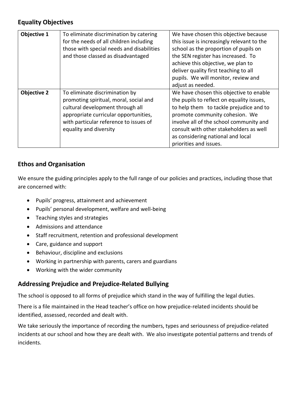# **Equality Objectives**

| Objective 1        | To eliminate discrimination by catering<br>for the needs of all children including<br>those with special needs and disabilities<br>and those classed as disadvantaged                                                     | We have chosen this objective because<br>this issue is increasingly relevant to the<br>school as the proportion of pupils on<br>the SEN register has increased. To<br>achieve this objective, we plan to<br>deliver quality first teaching to all<br>pupils. We will monitor, review and<br>adjust as needed.          |
|--------------------|---------------------------------------------------------------------------------------------------------------------------------------------------------------------------------------------------------------------------|------------------------------------------------------------------------------------------------------------------------------------------------------------------------------------------------------------------------------------------------------------------------------------------------------------------------|
| <b>Objective 2</b> | To eliminate discrimination by<br>promoting spiritual, moral, social and<br>cultural development through all<br>appropriate curricular opportunities,<br>with particular reference to issues of<br>equality and diversity | We have chosen this objective to enable<br>the pupils to reflect on equality issues,<br>to help them to tackle prejudice and to<br>promote community cohesion. We<br>involve all of the school community and<br>consult with other stakeholders as well<br>as considering national and local<br>priorities and issues. |

### **Ethos and Organisation**

We ensure the guiding principles apply to the full range of our policies and practices, including those that are concerned with:

- Pupils' progress, attainment and achievement
- Pupils' personal development, welfare and well-being
- Teaching styles and strategies
- Admissions and attendance
- Staff recruitment, retention and professional development
- Care, guidance and support
- Behaviour, discipline and exclusions
- Working in partnership with parents, carers and guardians
- Working with the wider community

# **Addressing Prejudice and Prejudice-Related Bullying**

The school is opposed to all forms of prejudice which stand in the way of fulfilling the legal duties.

There is a file maintained in the Head teacher's office on how prejudice-related incidents should be identified, assessed, recorded and dealt with.

We take seriously the importance of recording the numbers, types and seriousness of prejudice-related incidents at our school and how they are dealt with. We also investigate potential patterns and trends of incidents.